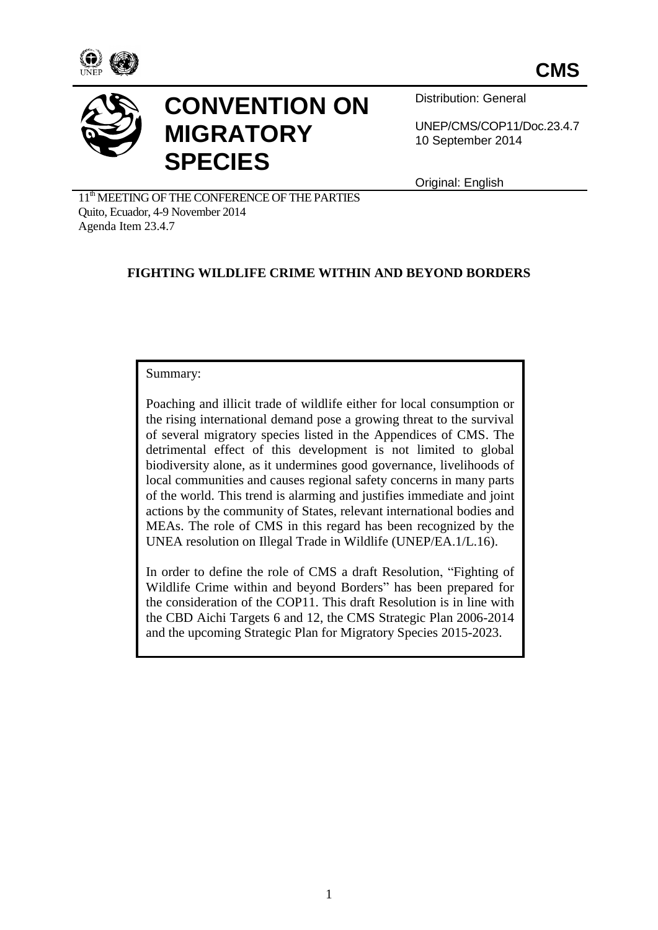



# **CONVENTION ON MIGRATORY SPECIES**

Distribution: General

UNEP/CMS/COP11/Doc.23.4.7 10 September 2014

Original: English

11<sup>th</sup> MEETING OF THE CONFERENCE OF THE PARTIES Quito, Ecuador, 4-9 November 2014 Agenda Item 23.4.7

# **FIGHTING WILDLIFE CRIME WITHIN AND BEYOND BORDERS**

#### Summary:

Poaching and illicit trade of wildlife either for local consumption or the rising international demand pose a growing threat to the survival of several migratory species listed in the Appendices of CMS. The detrimental effect of this development is not limited to global biodiversity alone, as it undermines good governance, livelihoods of local communities and causes regional safety concerns in many parts of the world. This trend is alarming and justifies immediate and joint actions by the community of States, relevant international bodies and MEAs. The role of CMS in this regard has been recognized by the UNEA resolution on Illegal Trade in Wildlife (UNEP/EA.1/L.16).

In order to define the role of CMS a draft Resolution, "Fighting of Wildlife Crime within and beyond Borders" has been prepared for the consideration of the COP11. This draft Resolution is in line with the CBD Aichi Targets 6 and 12, the CMS Strategic Plan 2006-2014 and the upcoming Strategic Plan for Migratory Species 2015-2023.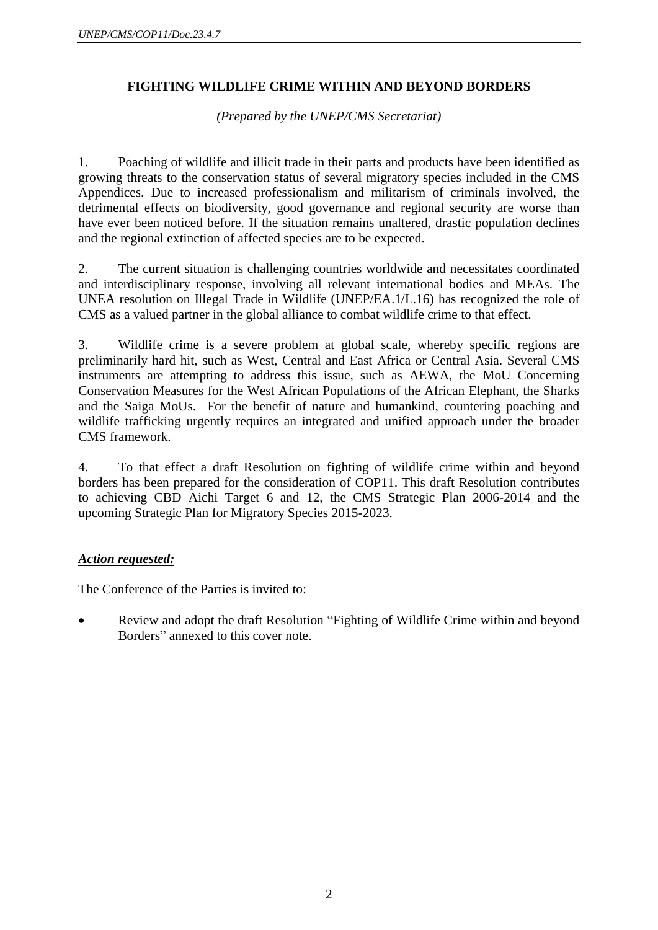# **FIGHTING WILDLIFE CRIME WITHIN AND BEYOND BORDERS**

*(Prepared by the UNEP/CMS Secretariat)*

1. Poaching of wildlife and illicit trade in their parts and products have been identified as growing threats to the conservation status of several migratory species included in the CMS Appendices. Due to increased professionalism and militarism of criminals involved, the detrimental effects on biodiversity, good governance and regional security are worse than have ever been noticed before. If the situation remains unaltered, drastic population declines and the regional extinction of affected species are to be expected.

2. The current situation is challenging countries worldwide and necessitates coordinated and interdisciplinary response, involving all relevant international bodies and MEAs. The UNEA resolution on Illegal Trade in Wildlife (UNEP/EA.1/L.16) has recognized the role of CMS as a valued partner in the global alliance to combat wildlife crime to that effect.

3. Wildlife crime is a severe problem at global scale, whereby specific regions are preliminarily hard hit, such as West, Central and East Africa or Central Asia. Several CMS instruments are attempting to address this issue, such as AEWA, the MoU Concerning Conservation Measures for the West African Populations of the African Elephant, the Sharks and the Saiga MoUs. For the benefit of nature and humankind, countering poaching and wildlife trafficking urgently requires an integrated and unified approach under the broader CMS framework.

4. To that effect a draft Resolution on fighting of wildlife crime within and beyond borders has been prepared for the consideration of COP11. This draft Resolution contributes to achieving CBD Aichi Target 6 and 12, the CMS Strategic Plan 2006-2014 and the upcoming Strategic Plan for Migratory Species 2015-2023.

## *Action requested:*

The Conference of the Parties is invited to:

 Review and adopt the draft Resolution "Fighting of Wildlife Crime within and beyond Borders" annexed to this cover note.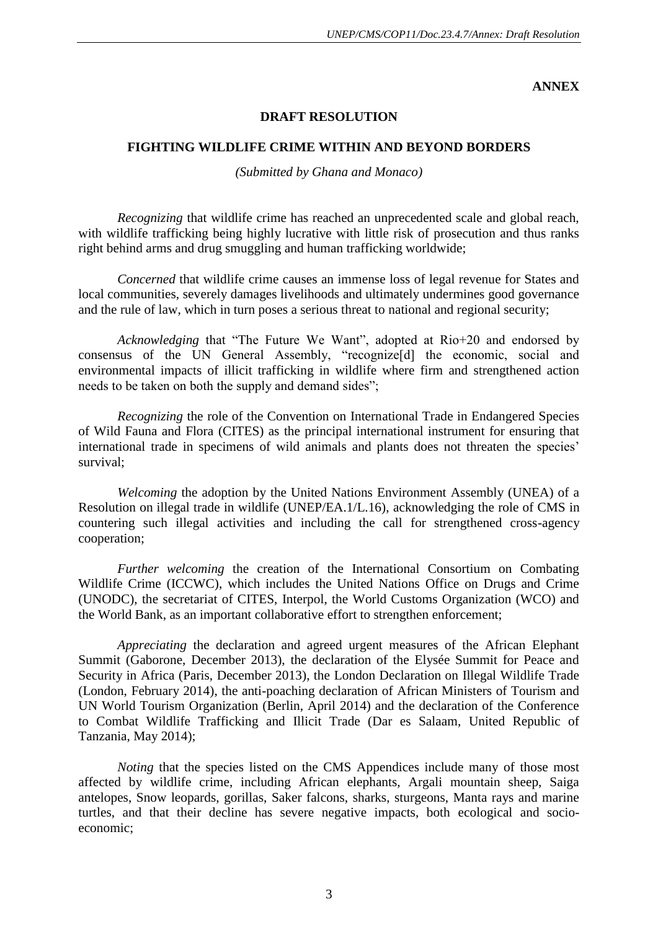**ANNEX**

## **DRAFT RESOLUTION**

### **FIGHTING WILDLIFE CRIME WITHIN AND BEYOND BORDERS**

*(Submitted by Ghana and Monaco)*

*Recognizing* that wildlife crime has reached an unprecedented scale and global reach, with wildlife trafficking being highly lucrative with little risk of prosecution and thus ranks right behind arms and drug smuggling and human trafficking worldwide;

*Concerned* that wildlife crime causes an immense loss of legal revenue for States and local communities, severely damages livelihoods and ultimately undermines good governance and the rule of law, which in turn poses a serious threat to national and regional security;

*Acknowledging* that "The Future We Want", adopted at Rio+20 and endorsed by consensus of the UN General Assembly, "recognize[d] the economic, social and environmental impacts of illicit trafficking in wildlife where firm and strengthened action needs to be taken on both the supply and demand sides";

*Recognizing* the role of the Convention on International Trade in Endangered Species of Wild Fauna and Flora (CITES) as the principal international instrument for ensuring that international trade in specimens of wild animals and plants does not threaten the species' survival;

*Welcoming* the adoption by the United Nations Environment Assembly (UNEA) of a Resolution on illegal trade in wildlife (UNEP/EA.1/L.16), acknowledging the role of CMS in countering such illegal activities and including the call for strengthened cross-agency cooperation;

*Further welcoming* the creation of the International Consortium on Combating Wildlife Crime (ICCWC), which includes the United Nations Office on Drugs and Crime (UNODC), the secretariat of CITES, Interpol, the World Customs Organization (WCO) and the World Bank, as an important collaborative effort to strengthen enforcement;

*Appreciating* the declaration and agreed urgent measures of the African Elephant Summit (Gaborone, December 2013), the declaration of the Elysée Summit for Peace and Security in Africa (Paris, December 2013), the London Declaration on Illegal Wildlife Trade (London, February 2014), the anti-poaching declaration of African Ministers of Tourism and UN World Tourism Organization (Berlin, April 2014) and the declaration of the Conference to Combat Wildlife Trafficking and Illicit Trade (Dar es Salaam, United Republic of Tanzania, May 2014);

*Noting* that the species listed on the CMS Appendices include many of those most affected by wildlife crime, including African elephants, Argali mountain sheep, Saiga antelopes, Snow leopards, gorillas, Saker falcons, sharks, sturgeons, Manta rays and marine turtles, and that their decline has severe negative impacts, both ecological and socioeconomic;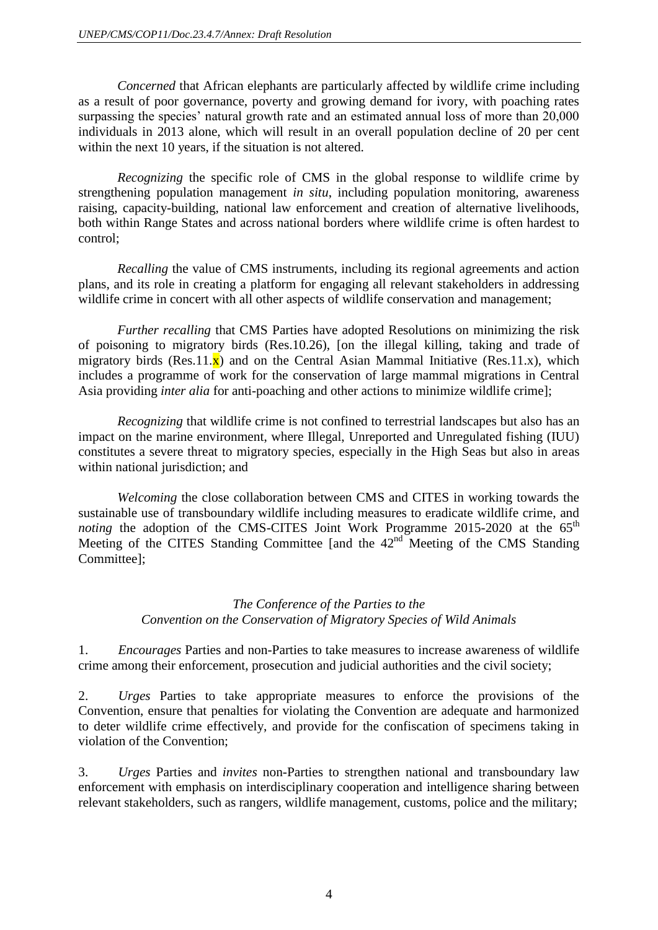*Concerned* that African elephants are particularly affected by wildlife crime including as a result of poor governance, poverty and growing demand for ivory, with poaching rates surpassing the species' natural growth rate and an estimated annual loss of more than 20,000 individuals in 2013 alone, which will result in an overall population decline of 20 per cent within the next 10 years, if the situation is not altered.

*Recognizing* the specific role of CMS in the global response to wildlife crime by strengthening population management *in situ*, including population monitoring, awareness raising, capacity-building, national law enforcement and creation of alternative livelihoods, both within Range States and across national borders where wildlife crime is often hardest to control;

*Recalling* the value of CMS instruments, including its regional agreements and action plans, and its role in creating a platform for engaging all relevant stakeholders in addressing wildlife crime in concert with all other aspects of wildlife conservation and management;

*Further recalling* that CMS Parties have adopted Resolutions on minimizing the risk of poisoning to migratory birds (Res.10.26), [on the illegal killing, taking and trade of migratory birds (Res.11. $\mathbf{x}$ ) and on the Central Asian Mammal Initiative (Res.11.x), which includes a programme of work for the conservation of large mammal migrations in Central Asia providing *inter alia* for anti-poaching and other actions to minimize wildlife crime];

*Recognizing* that wildlife crime is not confined to terrestrial landscapes but also has an impact on the marine environment, where Illegal, Unreported and Unregulated fishing (IUU) constitutes a severe threat to migratory species, especially in the High Seas but also in areas within national jurisdiction; and

*Welcoming* the close collaboration between CMS and CITES in working towards the sustainable use of transboundary wildlife including measures to eradicate wildlife crime, and *noting* the adoption of the CMS-CITES Joint Work Programme 2015-2020 at the 65<sup>th</sup> Meeting of the CITES Standing Committee [and the 42<sup>nd Meeting</sup> of the CMS Standing Committee];

# *The Conference of the Parties to the Convention on the Conservation of Migratory Species of Wild Animals*

1. *Encourages* Parties and non-Parties to take measures to increase awareness of wildlife crime among their enforcement, prosecution and judicial authorities and the civil society;

2. *Urges* Parties to take appropriate measures to enforce the provisions of the Convention, ensure that penalties for violating the Convention are adequate and harmonized to deter wildlife crime effectively, and provide for the confiscation of specimens taking in violation of the Convention;

3. *Urges* Parties and *invites* non-Parties to strengthen national and transboundary law enforcement with emphasis on interdisciplinary cooperation and intelligence sharing between relevant stakeholders, such as rangers, wildlife management, customs, police and the military;